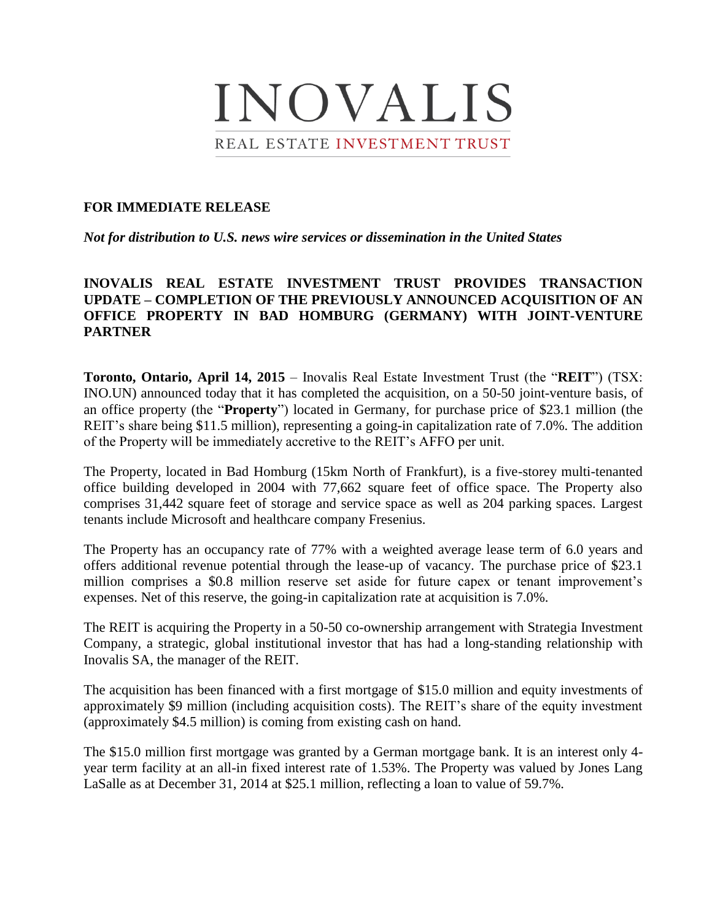

## **FOR IMMEDIATE RELEASE**

*Not for distribution to U.S. news wire services or dissemination in the United States*

# **INOVALIS REAL ESTATE INVESTMENT TRUST PROVIDES TRANSACTION UPDATE – COMPLETION OF THE PREVIOUSLY ANNOUNCED ACQUISITION OF AN OFFICE PROPERTY IN BAD HOMBURG (GERMANY) WITH JOINT-VENTURE PARTNER**

**Toronto, Ontario, April 14, 2015** – Inovalis Real Estate Investment Trust (the "**REIT**") (TSX: INO.UN) announced today that it has completed the acquisition, on a 50-50 joint-venture basis, of an office property (the "**Property**") located in Germany, for purchase price of \$23.1 million (the REIT's share being \$11.5 million), representing a going-in capitalization rate of 7.0%. The addition of the Property will be immediately accretive to the REIT's AFFO per unit.

The Property, located in Bad Homburg (15km North of Frankfurt), is a five-storey multi-tenanted office building developed in 2004 with 77,662 square feet of office space. The Property also comprises 31,442 square feet of storage and service space as well as 204 parking spaces. Largest tenants include Microsoft and healthcare company Fresenius.

The Property has an occupancy rate of 77% with a weighted average lease term of 6.0 years and offers additional revenue potential through the lease-up of vacancy. The purchase price of \$23.1 million comprises a \$0.8 million reserve set aside for future capex or tenant improvement's expenses. Net of this reserve, the going-in capitalization rate at acquisition is 7.0%.

The REIT is acquiring the Property in a 50-50 co-ownership arrangement with Strategia Investment Company, a strategic, global institutional investor that has had a long-standing relationship with Inovalis SA, the manager of the REIT.

The acquisition has been financed with a first mortgage of \$15.0 million and equity investments of approximately \$9 million (including acquisition costs). The REIT's share of the equity investment (approximately \$4.5 million) is coming from existing cash on hand.

The \$15.0 million first mortgage was granted by a German mortgage bank. It is an interest only 4 year term facility at an all-in fixed interest rate of 1.53%. The Property was valued by Jones Lang LaSalle as at December 31, 2014 at \$25.1 million, reflecting a loan to value of 59.7%.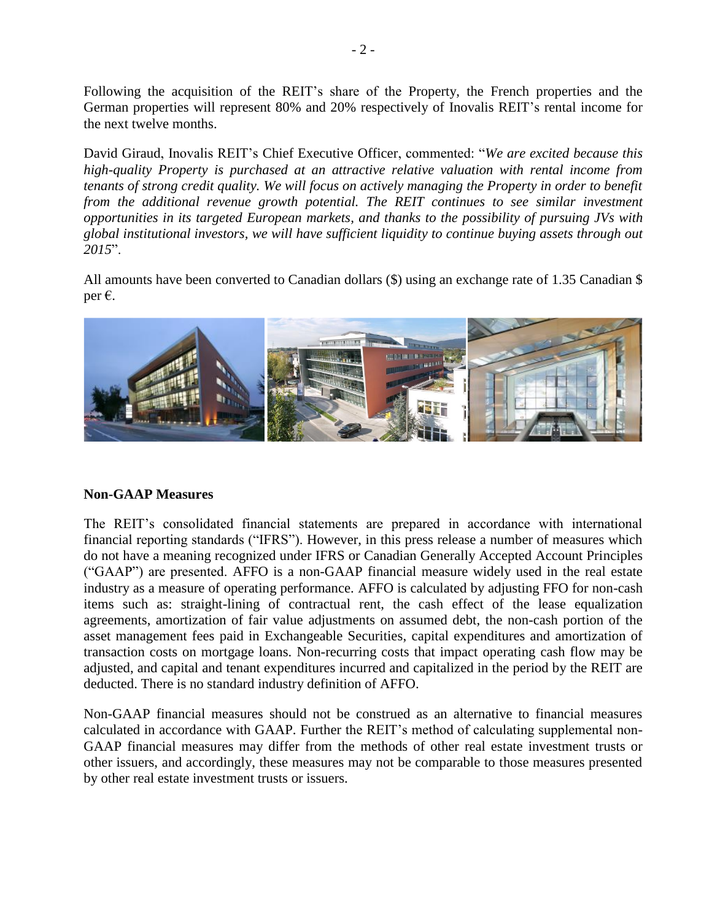Following the acquisition of the REIT's share of the Property, the French properties and the German properties will represent 80% and 20% respectively of Inovalis REIT's rental income for the next twelve months.

David Giraud, Inovalis REIT's Chief Executive Officer, commented: "*We are excited because this high-quality Property is purchased at an attractive relative valuation with rental income from tenants of strong credit quality. We will focus on actively managing the Property in order to benefit*  from the additional revenue growth potential. The REIT continues to see similar investment *opportunities in its targeted European markets, and thanks to the possibility of pursuing JVs with global institutional investors, we will have sufficient liquidity to continue buying assets through out 2015*".

All amounts have been converted to Canadian dollars (\$) using an exchange rate of 1.35 Canadian \$ per €.



## **Non-GAAP Measures**

The REIT's consolidated financial statements are prepared in accordance with international financial reporting standards ("IFRS"). However, in this press release a number of measures which do not have a meaning recognized under IFRS or Canadian Generally Accepted Account Principles ("GAAP") are presented. AFFO is a non-GAAP financial measure widely used in the real estate industry as a measure of operating performance. AFFO is calculated by adjusting FFO for non-cash items such as: straight-lining of contractual rent, the cash effect of the lease equalization agreements, amortization of fair value adjustments on assumed debt, the non-cash portion of the asset management fees paid in Exchangeable Securities, capital expenditures and amortization of transaction costs on mortgage loans. Non-recurring costs that impact operating cash flow may be adjusted, and capital and tenant expenditures incurred and capitalized in the period by the REIT are deducted. There is no standard industry definition of AFFO.

Non-GAAP financial measures should not be construed as an alternative to financial measures calculated in accordance with GAAP. Further the REIT's method of calculating supplemental non-GAAP financial measures may differ from the methods of other real estate investment trusts or other issuers, and accordingly, these measures may not be comparable to those measures presented by other real estate investment trusts or issuers.